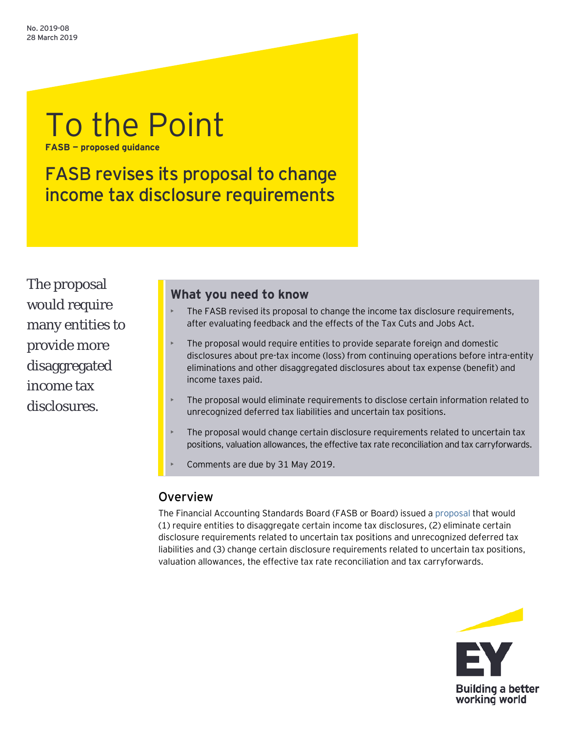# To the Point **FASB — proposed guidance**

FASB revises its proposal to change income tax disclosure requirements

The proposal would require many entities to provide more disaggregated income tax disclosures.

# **What you need to know**

- The FASB revised its proposal to change the income tax disclosure requirements, after evaluating feedback and the effects of the Tax Cuts and Jobs Act.
- The proposal would require entities to provide separate foreign and domestic disclosures about pre-tax income (loss) from continuing operations before intra-entity eliminations and other disaggregated disclosures about tax expense (benefit) and income taxes paid.
- The proposal would eliminate requirements to disclose certain information related to unrecognized deferred tax liabilities and uncertain tax positions.
- The proposal would change certain disclosure requirements related to uncertain tax positions, valuation allowances, the effective tax rate reconciliation and tax carryforwards.
- Comments are due by 31 May 2019.

# **Overview**

The Financial Accounting Standards Board (FASB or Board) issued [a proposal](https://www.fasb.org/cs/Satellite?c=Document_C&cid=1176172382198&pagename=FASB%2FDocument_C%2FDocumentPage) that would (1) require entities to disaggregate certain income tax disclosures, (2) eliminate certain disclosure requirements related to uncertain tax positions and unrecognized deferred tax liabilities and (3) change certain disclosure requirements related to uncertain tax positions, valuation allowances, the effective tax rate reconciliation and tax carryforwards.

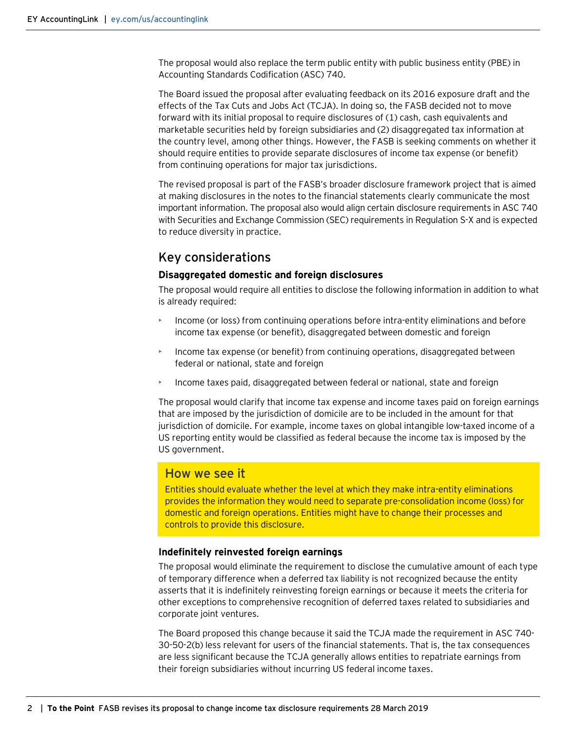The proposal would also replace the term public entity with public business entity (PBE) in Accounting Standards Codification (ASC) 740.

The Board issued the proposal after evaluating feedback on its 2016 exposure draft and the effects of the Tax Cuts and Jobs Act (TCJA). In doing so, the FASB decided not to move forward with its initial proposal to require disclosures of (1) cash, cash equivalents and marketable securities held by foreign subsidiaries and (2) disaggregated tax information at the country level, among other things. However, the FASB is seeking comments on whether it should require entities to provide separate disclosures of income tax expense (or benefit) from continuing operations for major tax jurisdictions.

The revised proposal is part of the FASB's broader disclosure framework project that is aimed at making disclosures in the notes to the financial statements clearly communicate the most important information. The proposal also would align certain disclosure requirements in ASC 740 with Securities and Exchange Commission (SEC) requirements in Regulation S-X and is expected to reduce diversity in practice.

## Key considerations

#### **Disaggregated domestic and foreign disclosures**

The proposal would require all entities to disclose the following information in addition to what is already required:

- Income (or loss) from continuing operations before intra-entity eliminations and before income tax expense (or benefit), disaggregated between domestic and foreign
- Income tax expense (or benefit) from continuing operations, disaggregated between federal or national, state and foreign
- Income taxes paid, disaggregated between federal or national, state and foreign

The proposal would clarify that income tax expense and income taxes paid on foreign earnings that are imposed by the jurisdiction of domicile are to be included in the amount for that jurisdiction of domicile. For example, income taxes on global intangible low-taxed income of a US reporting entity would be classified as federal because the income tax is imposed by the US government.

## How we see it

Entities should evaluate whether the level at which they make intra-entity eliminations provides the information they would need to separate pre-consolidation income (loss) for domestic and foreign operations. Entities might have to change their processes and controls to provide this disclosure.

#### **Indefinitely reinvested foreign earnings**

The proposal would eliminate the requirement to disclose the cumulative amount of each type of temporary difference when a deferred tax liability is not recognized because the entity asserts that it is indefinitely reinvesting foreign earnings or because it meets the criteria for other exceptions to comprehensive recognition of deferred taxes related to subsidiaries and corporate joint ventures.

The Board proposed this change because it said the TCJA made the requirement in ASC 740- 30-50-2(b) less relevant for users of the financial statements. That is, the tax consequences are less significant because the TCJA generally allows entities to repatriate earnings from their foreign subsidiaries without incurring US federal income taxes.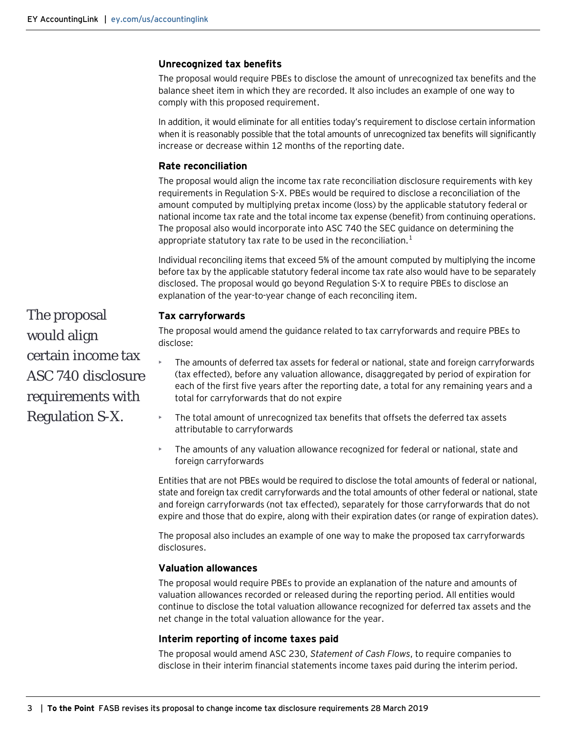#### **Unrecognized tax benefits**

The proposal would require PBEs to disclose the amount of unrecognized tax benefits and the balance sheet item in which they are recorded. It also includes an example of one way to comply with this proposed requirement.

In addition, it would eliminate for all entities today's requirement to disclose certain information when it is reasonably possible that the total amounts of unrecognized tax benefits will significantly increase or decrease within 12 months of the reporting date.

### **Rate reconciliation**

The proposal would align the income tax rate reconciliation disclosure requirements with key requirements in Regulation S-X. PBEs would be required to disclose a reconciliation of the amount computed by multiplying pretax income (loss) by the applicable statutory federal or national income tax rate and the total income tax expense (benefit) from continuing operations. The proposal also would incorporate into ASC 740 the SEC guidance on determining the appropriate statutory tax rate to be used in the reconciliation.<sup>1</sup>

Individual reconciling items that exceed 5% of the amount computed by multiplying the income before tax by the applicable statutory federal income tax rate also would have to be separately disclosed. The proposal would go beyond Regulation S-X to require PBEs to disclose an explanation of the year-to-year change of each reconciling item.

#### **Tax carryforwards**

The proposal would amend the guidance related to tax carryforwards and require PBEs to disclose:

- The amounts of deferred tax assets for federal or national, state and foreign carryforwards (tax effected), before any valuation allowance, disaggregated by period of expiration for each of the first five years after the reporting date, a total for any remaining years and a total for carryforwards that do not expire
- The total amount of unrecognized tax benefits that offsets the deferred tax assets attributable to carryforwards
- The amounts of any valuation allowance recognized for federal or national, state and foreign carryforwards

Entities that are not PBEs would be required to disclose the total amounts of federal or national, state and foreign tax credit carryforwards and the total amounts of other federal or national, state and foreign carryforwards (not tax effected), separately for those carryforwards that do not expire and those that do expire, along with their expiration dates (or range of expiration dates).

The proposal also includes an example of one way to make the proposed tax carryforwards disclosures.

#### **Valuation allowances**

The proposal would require PBEs to provide an explanation of the nature and amounts of valuation allowances recorded or released during the reporting period. All entities would continue to disclose the total valuation allowance recognized for deferred tax assets and the net change in the total valuation allowance for the year.

#### **Interim reporting of income taxes paid**

The proposal would amend ASC 230, *Statement of Cash Flows*, to require companies to disclose in their interim financial statements income taxes paid during the interim period.

The proposal would align certain income tax ASC 740 disclosure requirements with Regulation S-X.